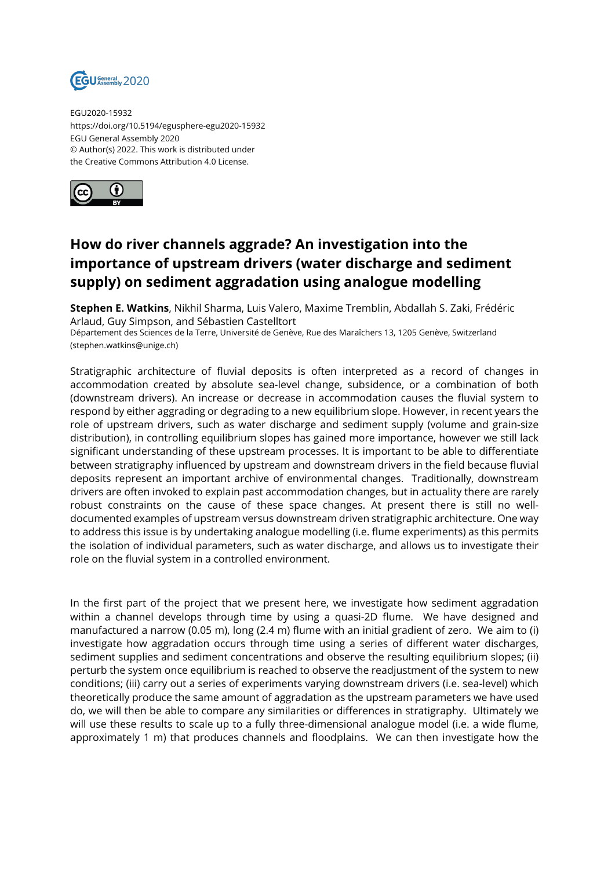

EGU2020-15932 https://doi.org/10.5194/egusphere-egu2020-15932 EGU General Assembly 2020 © Author(s) 2022. This work is distributed under the Creative Commons Attribution 4.0 License.



## **How do river channels aggrade? An investigation into the importance of upstream drivers (water discharge and sediment supply) on sediment aggradation using analogue modelling**

**Stephen E. Watkins**, Nikhil Sharma, Luis Valero, Maxime Tremblin, Abdallah S. Zaki, Frédéric Arlaud, Guy Simpson, and Sébastien Castelltort

Département des Sciences de la Terre, Université de Genève, Rue des Maraîchers 13, 1205 Genève, Switzerland (stephen.watkins@unige.ch)

Stratigraphic architecture of fluvial deposits is often interpreted as a record of changes in accommodation created by absolute sea-level change, subsidence, or a combination of both (downstream drivers). An increase or decrease in accommodation causes the fluvial system to respond by either aggrading or degrading to a new equilibrium slope. However, in recent years the role of upstream drivers, such as water discharge and sediment supply (volume and grain-size distribution), in controlling equilibrium slopes has gained more importance, however we still lack significant understanding of these upstream processes. It is important to be able to differentiate between stratigraphy influenced by upstream and downstream drivers in the field because fluvial deposits represent an important archive of environmental changes. Traditionally, downstream drivers are often invoked to explain past accommodation changes, but in actuality there are rarely robust constraints on the cause of these space changes. At present there is still no welldocumented examples of upstream versus downstream driven stratigraphic architecture. One way to address this issue is by undertaking analogue modelling (i.e. flume experiments) as this permits the isolation of individual parameters, such as water discharge, and allows us to investigate their role on the fluvial system in a controlled environment.

In the first part of the project that we present here, we investigate how sediment aggradation within a channel develops through time by using a quasi-2D flume. We have designed and manufactured a narrow (0.05 m), long (2.4 m) flume with an initial gradient of zero. We aim to (i) investigate how aggradation occurs through time using a series of different water discharges, sediment supplies and sediment concentrations and observe the resulting equilibrium slopes; (ii) perturb the system once equilibrium is reached to observe the readjustment of the system to new conditions; (iii) carry out a series of experiments varying downstream drivers (i.e. sea-level) which theoretically produce the same amount of aggradation as the upstream parameters we have used do, we will then be able to compare any similarities or differences in stratigraphy. Ultimately we will use these results to scale up to a fully three-dimensional analogue model (i.e. a wide flume, approximately 1 m) that produces channels and floodplains. We can then investigate how the